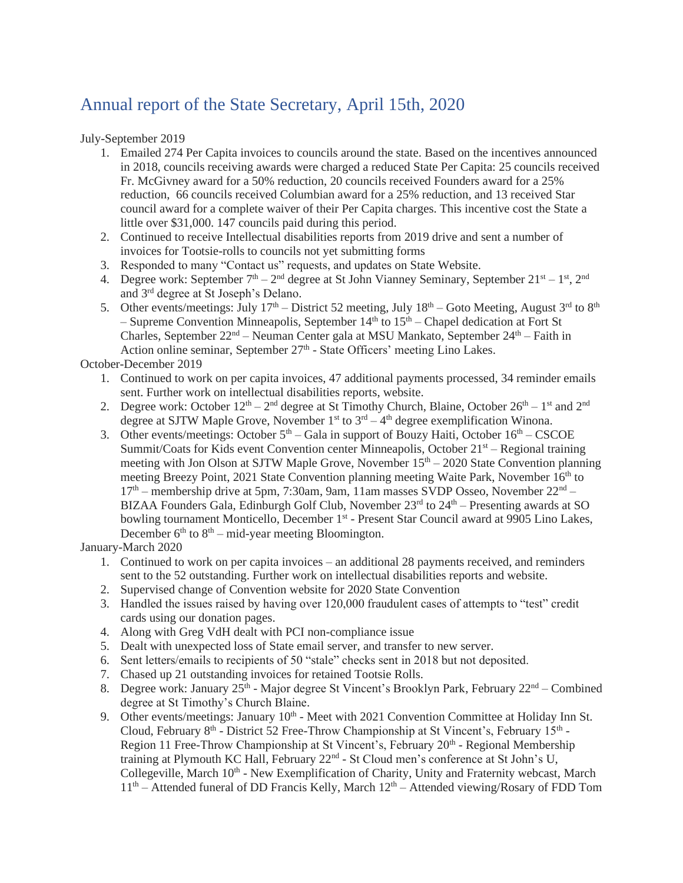## Annual report of the State Secretary, April 15th, 2020

July-September 2019

- 1. Emailed 274 Per Capita invoices to councils around the state. Based on the incentives announced in 2018, councils receiving awards were charged a reduced State Per Capita: 25 councils received Fr. McGivney award for a 50% reduction, 20 councils received Founders award for a 25% reduction, 66 councils received Columbian award for a 25% reduction, and 13 received Star council award for a complete waiver of their Per Capita charges. This incentive cost the State a little over \$31,000. 147 councils paid during this period.
- 2. Continued to receive Intellectual disabilities reports from 2019 drive and sent a number of invoices for Tootsie-rolls to councils not yet submitting forms
- 3. Responded to many "Contact us" requests, and updates on State Website.
- 4. Degree work: September  $7<sup>th</sup> 2<sup>nd</sup>$  degree at St John Vianney Seminary, September  $21<sup>st</sup> 1<sup>st</sup>$ ,  $2<sup>nd</sup>$ and 3rd degree at St Joseph's Delano.
- 5. Other events/meetings: July  $17<sup>th</sup>$  District 52 meeting, July  $18<sup>th</sup>$  Goto Meeting, August 3<sup>rd</sup> to  $8<sup>th</sup>$ – Supreme Convention Minneapolis, September  $14<sup>th</sup>$  to  $15<sup>th</sup>$  – Chapel dedication at Fort St Charles, September  $22<sup>nd</sup>$  – Neuman Center gala at MSU Mankato, September  $24<sup>th</sup>$  – Faith in Action online seminar, September 27<sup>th</sup> - State Officers' meeting Lino Lakes.

October-December 2019

- 1. Continued to work on per capita invoices, 47 additional payments processed, 34 reminder emails sent. Further work on intellectual disabilities reports, website.
- 2. Degree work: October  $12<sup>th</sup> 2<sup>nd</sup>$  degree at St Timothy Church, Blaine, October  $26<sup>th</sup> 1<sup>st</sup>$  and  $2<sup>nd</sup>$ degree at SJTW Maple Grove, November  $1<sup>st</sup>$  to  $3<sup>rd</sup> - 4<sup>th</sup>$  degree exemplification Winona.
- 3. Other events/meetings: October  $5<sup>th</sup> -$  Gala in support of Bouzy Haiti, October  $16<sup>th</sup> -$  CSCOE Summit/Coats for Kids event Convention center Minneapolis, October 21<sup>st</sup> – Regional training meeting with Jon Olson at SJTW Maple Grove, November  $15<sup>th</sup> - 2020$  State Convention planning meeting Breezy Point, 2021 State Convention planning meeting Waite Park, November 16<sup>th</sup> to  $17<sup>th</sup>$  – membership drive at 5pm, 7:30am, 9am, 11am masses SVDP Osseo, November  $22<sup>nd</sup>$  – BIZAA Founders Gala, Edinburgh Golf Club, November  $23<sup>rd</sup>$  to  $24<sup>th</sup>$  – Presenting awards at SO bowling tournament Monticello, December 1<sup>st</sup> - Present Star Council award at 9905 Lino Lakes, December  $6<sup>th</sup>$  to  $8<sup>th</sup>$  – mid-year meeting Bloomington.

January-March 2020

- 1. Continued to work on per capita invoices an additional 28 payments received, and reminders sent to the 52 outstanding. Further work on intellectual disabilities reports and website.
- 2. Supervised change of Convention website for 2020 State Convention
- 3. Handled the issues raised by having over 120,000 fraudulent cases of attempts to "test" credit cards using our donation pages.
- 4. Along with Greg VdH dealt with PCI non-compliance issue
- 5. Dealt with unexpected loss of State email server, and transfer to new server.
- 6. Sent letters/emails to recipients of 50 "stale" checks sent in 2018 but not deposited.
- 7. Chased up 21 outstanding invoices for retained Tootsie Rolls.
- 8. Degree work: January  $25<sup>th</sup>$  Major degree St Vincent's Brooklyn Park, February  $22<sup>nd</sup>$  Combined degree at St Timothy's Church Blaine.
- 9. Other events/meetings: January 10<sup>th</sup> Meet with 2021 Convention Committee at Holiday Inn St. Cloud, February 8<sup>th</sup> - District 52 Free-Throw Championship at St Vincent's, February 15<sup>th</sup> -Region 11 Free-Throw Championship at St Vincent's, February 20<sup>th</sup> - Regional Membership training at Plymouth KC Hall, February 22<sup>nd</sup> - St Cloud men's conference at St John's U, Collegeville, March 10<sup>th</sup> - New Exemplification of Charity, Unity and Fraternity webcast, March  $11<sup>th</sup>$  – Attended funeral of DD Francis Kelly, March  $12<sup>th</sup>$  – Attended viewing/Rosary of FDD Tom